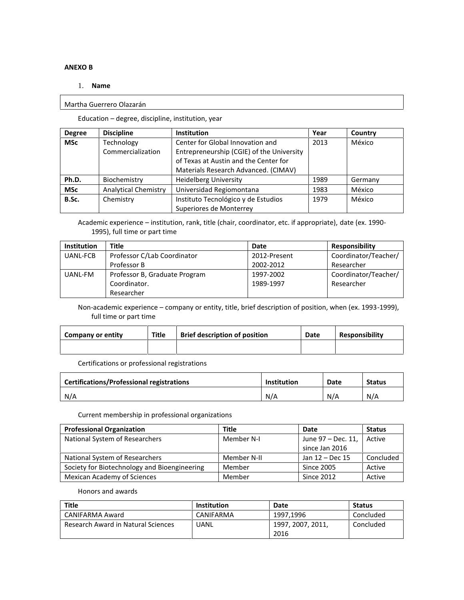## **ANEXO B**

## 1. **Name**

## Martha Guerrero Olazarán

Education – degree, discipline, institution, year

| <b>Degree</b> | <b>Discipline</b>           | <b>Institution</b>                        | Year | Country |
|---------------|-----------------------------|-------------------------------------------|------|---------|
| <b>MSc</b>    | Technology                  | Center for Global Innovation and          | 2013 | México  |
|               | Commercialization           | Entrepreneurship (CGIE) of the University |      |         |
|               |                             | of Texas at Austin and the Center for     |      |         |
|               |                             | Materials Research Advanced. (CIMAV)      |      |         |
| Ph.D.         | Biochemistry                | <b>Heidelberg University</b>              | 1989 | Germany |
| <b>MSc</b>    | <b>Analytical Chemistry</b> | Universidad Regiomontana                  | 1983 | México  |
| B.Sc.         | Chemistry                   | Instituto Tecnológico y de Estudios       | 1979 | México  |
|               |                             | Superiores de Monterrey                   |      |         |

Academic experience – institution, rank, title (chair, coordinator, etc. if appropriate), date (ex. 1990- 1995), full time or part time

| <b>Institution</b> | Title                         | Date         | <b>Responsibility</b> |
|--------------------|-------------------------------|--------------|-----------------------|
| UANL-FCB           | Professor C/Lab Coordinator   | 2012-Present | Coordinator/Teacher/  |
|                    | Professor B                   | 2002-2012    | Researcher            |
| UANL-FM            | Professor B, Graduate Program | 1997-2002    | Coordinator/Teacher/  |
|                    | Coordinator.                  | 1989-1997    | Researcher            |
|                    | Researcher                    |              |                       |

Non-academic experience – company or entity, title, brief description of position, when (ex. 1993-1999), full time or part time

| <b>Company or entity</b> | <b>Title</b> | <b>Brief description of position</b> | Date | <b>Responsibility</b> |
|--------------------------|--------------|--------------------------------------|------|-----------------------|
|                          |              |                                      |      |                       |

Certifications or professional registrations

| <b>Certifications/Professional registrations</b> | <b>Institution</b> | Date | <b>Status</b> |
|--------------------------------------------------|--------------------|------|---------------|
| N/A                                              | N/A                | N/A  | N/A           |

Current membership in professional organizations

| <b>Professional Organization</b>             | Title       | Date               | <b>Status</b> |
|----------------------------------------------|-------------|--------------------|---------------|
| National System of Researchers               | Member N-I  | June 97 – Dec. 11, | Active        |
|                                              |             | since Jan 2016     |               |
| National System of Researchers               | Member N-II | Jan 12 - Dec 15    | Concluded     |
| Society for Biotechnology and Bioengineering | Member      | Since 2005         | Active        |
| Mexican Academy of Sciences                  | Member      | <b>Since 2012</b>  | Active        |

Honors and awards

| <b>Title</b>                       | <b>Institution</b> | Date                      | <b>Status</b> |
|------------------------------------|--------------------|---------------------------|---------------|
| CANIFARMA Award                    | CANIFARMA          | 1997.1996                 | Concluded     |
| Research Award in Natural Sciences | UANL               | 1997, 2007, 2011,<br>2016 | Concluded     |